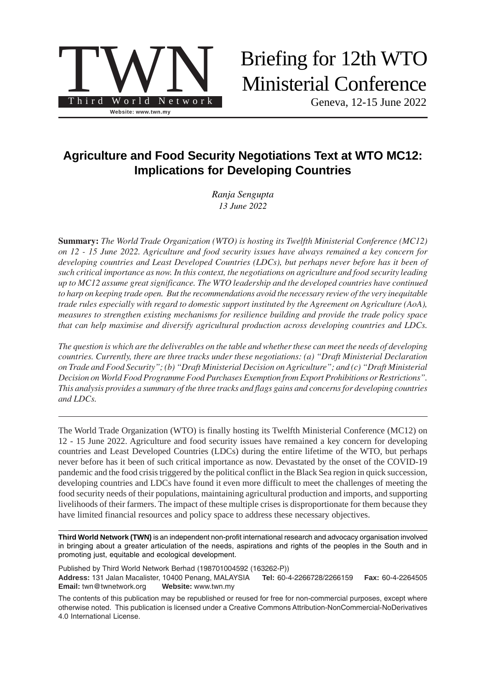

# Briefing for 12th WTO Ministerial Conference

Geneva, 12-15 June 2022

# **Agriculture and Food Security Negotiations Text at WTO MC12: Implications for Developing Countries**

*Ranja Sengupta 13 June 2022*

**Summary:** *The World Trade Organization (WTO) is hosting its Twelfth Ministerial Conference (MC12) on 12 - 15 June 2022. Agriculture and food security issues have always remained a key concern for developing countries and Least Developed Countries (LDCs), but perhaps never before has it been of such critical importance as now. In this context, the negotiations on agriculture and food security leading up to MC12 assume great significance. The WTO leadership and the developed countries have continued to harp on keeping trade open. But the recommendations avoid the necessary review of the very inequitable trade rules especially with regard to domestic support instituted by the Agreement on Agriculture (AoA), measures to strengthen existing mechanisms for resilience building and provide the trade policy space that can help maximise and diversify agricultural production across developing countries and LDCs.*

*The question is which are the deliverables on the table and whether these can meet the needs of developing countries. Currently, there are three tracks under these negotiations: (a) "Draft Ministerial Declaration on Trade and Food Security"; (b) "Draft Ministerial Decision on Agriculture"; and (c) "Draft Ministerial Decision on World Food Programme Food Purchases Exemption from Export Prohibitions or Restrictions". This analysis provides a summary of the three tracks and flags gains and concerns for developing countries and LDCs.*

The World Trade Organization (WTO) is finally hosting its Twelfth Ministerial Conference (MC12) on 12 - 15 June 2022. Agriculture and food security issues have remained a key concern for developing countries and Least Developed Countries (LDCs) during the entire lifetime of the WTO, but perhaps never before has it been of such critical importance as now. Devastated by the onset of the COVID-19 pandemic and the food crisis triggered by the political conflict in the Black Sea region in quick succession, developing countries and LDCs have found it even more difficult to meet the challenges of meeting the food security needs of their populations, maintaining agricultural production and imports, and supporting livelihoods of their farmers. The impact of these multiple crises is disproportionate for them because they have limited financial resources and policy space to address these necessary objectives.

**Third World Network (TWN)** is an independent non-profit international research and advocacy organisation involved in bringing about a greater articulation of the needs, aspirations and rights of the peoples in the South and in promoting just, equitable and ecological development.

Published by Third World Network Berhad (198701004592 (163262-P)) **Address:** 131 Jalan Macalister, 10400 Penang, MALAYSIA **Tel:** 60-4-2266728/2266159 **Fax:** 60-4-2264505 **Email:** twn@twnetwork.org **Website:** www.twn.my

The contents of this publication may be republished or reused for free for non-commercial purposes, except where otherwise noted. This publication is licensed under a [Creative Commons Attribution-NonCommercial-NoDerivatives](https://creativecommons.org/licenses/by-nc-nd/4.0/) [4.0 International License.](https://creativecommons.org/licenses/by-nc-nd/4.0/)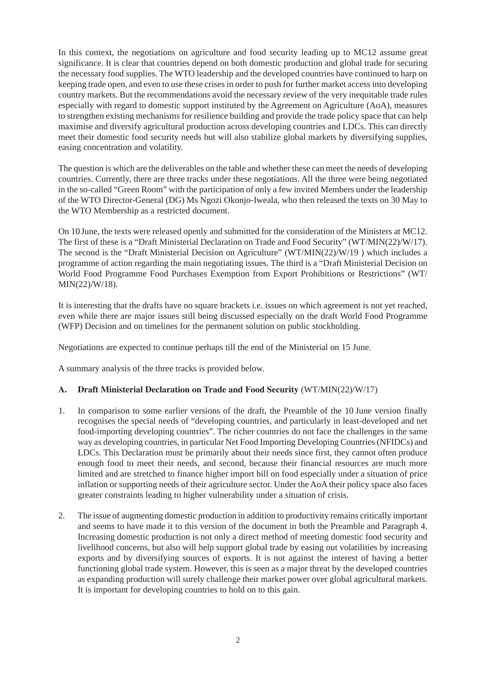In this context, the negotiations on agriculture and food security leading up to MC12 assume great significance. It is clear that countries depend on both domestic production and global trade for securing the necessary food supplies. The WTO leadership and the developed countries have continued to harp on keeping trade open, and even to use these crises in order to push for further market access into developing country markets. But the recommendations avoid the necessary review of the very inequitable trade rules especially with regard to domestic support instituted by the Agreement on Agriculture (AoA), measures to strengthen existing mechanisms for resilience building and provide the trade policy space that can help maximise and diversify agricultural production across developing countries and LDCs. This can directly meet their domestic food security needs but will also stabilize global markets by diversifying supplies, easing concentration and volatility.

The question is which are the deliverables on the table and whether these can meet the needs of developing countries. Currently, there are three tracks under these negotiations. All the three were being negotiated in the so-called "Green Room" with the participation of only a few invited Members under the leadership of the WTO Director-General (DG) Ms Ngozi Okonjo-Iweala, who then released the texts on 30 May to the WTO Membership as a restricted document.

On 10 June, the texts were released openly and submitted for the consideration of the Ministers at MC12. The first of these is a "Draft Ministerial Declaration on Trade and Food Security" (WT/MIN(22)/W/17). The second is the "Draft Ministerial Decision on Agriculture" (WT/MIN(22)/W/19 ) which includes a programme of action regarding the main negotiating issues. The third is a "Draft Ministerial Decision on World Food Programme Food Purchases Exemption from Export Prohibitions or Restrictions" (WT/ MIN(22)/W/18).

It is interesting that the drafts have no square brackets i.e. issues on which agreement is not yet reached, even while there are major issues still being discussed especially on the draft World Food Programme (WFP) Decision and on timelines for the permanent solution on public stockholding.

Negotiations are expected to continue perhaps till the end of the Ministerial on 15 June.

A summary analysis of the three tracks is provided below.

# **A. Draft Ministerial Declaration on Trade and Food Security** (WT/MIN(22)/W/17)

- 1. In comparison to some earlier versions of the draft, the Preamble of the 10 June version finally recognises the special needs of "developing countries, and particularly in least-developed and net food-importing developing countries". The richer countries do not face the challenges in the same way as developing countries, in particular Net Food Importing Developing Countries (NFIDCs) and LDCs. This Declaration must be primarily about their needs since first, they cannot often produce enough food to meet their needs, and second, because their financial resources are much more limited and are stretched to finance higher import bill on food especially under a situation of price inflation or supporting needs of their agriculture sector. Under the AoA their policy space also faces greater constraints leading to higher vulnerability under a situation of crisis.
- 2. The issue of augmenting domestic production in addition to productivity remains critically important and seems to have made it to this version of the document in both the Preamble and Paragraph 4. Increasing domestic production is not only a direct method of meeting domestic food security and livelihood concerns, but also will help support global trade by easing out volatilities by increasing exports and by diversifying sources of exports. It is not against the interest of having a better functioning global trade system. However, this is seen as a major threat by the developed countries as expanding production will surely challenge their market power over global agricultural markets. It is important for developing countries to hold on to this gain.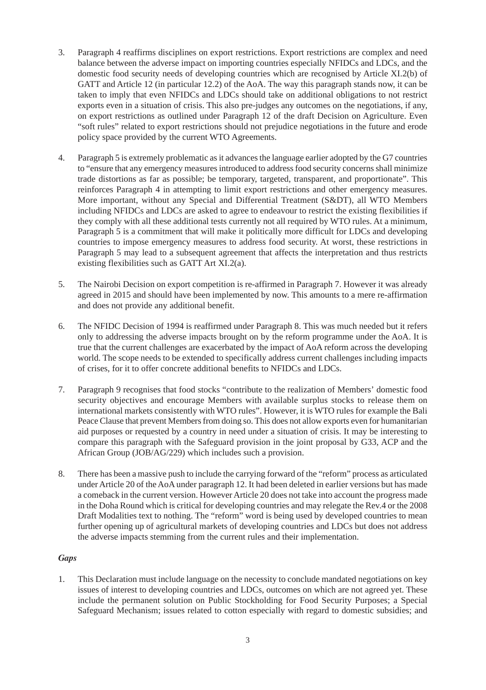- 3. Paragraph 4 reaffirms disciplines on export restrictions. Export restrictions are complex and need balance between the adverse impact on importing countries especially NFIDCs and LDCs, and the domestic food security needs of developing countries which are recognised by Article XI.2(b) of GATT and Article 12 (in particular 12.2) of the AoA. The way this paragraph stands now, it can be taken to imply that even NFIDCs and LDCs should take on additional obligations to not restrict exports even in a situation of crisis. This also pre-judges any outcomes on the negotiations, if any, on export restrictions as outlined under Paragraph 12 of the draft Decision on Agriculture. Even "soft rules" related to export restrictions should not prejudice negotiations in the future and erode policy space provided by the current WTO Agreements.
- 4. Paragraph 5 is extremely problematic as it advances the language earlier adopted by the G7 countries to "ensure that any emergency measures introduced to address food security concerns shall minimize trade distortions as far as possible; be temporary, targeted, transparent, and proportionate". This reinforces Paragraph 4 in attempting to limit export restrictions and other emergency measures. More important, without any Special and Differential Treatment (S&DT), all WTO Members including NFIDCs and LDCs are asked to agree to endeavour to restrict the existing flexibilities if they comply with all these additional tests currently not all required by WTO rules. At a minimum, Paragraph 5 is a commitment that will make it politically more difficult for LDCs and developing countries to impose emergency measures to address food security. At worst, these restrictions in Paragraph 5 may lead to a subsequent agreement that affects the interpretation and thus restricts existing flexibilities such as GATT Art XI.2(a).
- 5. The Nairobi Decision on export competition is re-affirmed in Paragraph 7. However it was already agreed in 2015 and should have been implemented by now. This amounts to a mere re-affirmation and does not provide any additional benefit.
- 6. The NFIDC Decision of 1994 is reaffirmed under Paragraph 8. This was much needed but it refers only to addressing the adverse impacts brought on by the reform programme under the AoA. It is true that the current challenges are exacerbated by the impact of AoA reform across the developing world. The scope needs to be extended to specifically address current challenges including impacts of crises, for it to offer concrete additional benefits to NFIDCs and LDCs.
- 7. Paragraph 9 recognises that food stocks "contribute to the realization of Members' domestic food security objectives and encourage Members with available surplus stocks to release them on international markets consistently with WTO rules". However, it is WTO rules for example the Bali Peace Clause that prevent Members from doing so. This does not allow exports even for humanitarian aid purposes or requested by a country in need under a situation of crisis. It may be interesting to compare this paragraph with the Safeguard provision in the joint proposal by G33, ACP and the African Group (JOB/AG/229) which includes such a provision.
- 8. There has been a massive push to include the carrying forward of the "reform" process as articulated under Article 20 of the AoA under paragraph 12. It had been deleted in earlier versions but has made a comeback in the current version. However Article 20 does not take into account the progress made in the Doha Round which is critical for developing countries and may relegate the Rev.4 or the 2008 Draft Modalities text to nothing. The "reform" word is being used by developed countries to mean further opening up of agricultural markets of developing countries and LDCs but does not address the adverse impacts stemming from the current rules and their implementation.

# *Gaps*

1. This Declaration must include language on the necessity to conclude mandated negotiations on key issues of interest to developing countries and LDCs, outcomes on which are not agreed yet. These include the permanent solution on Public Stockholding for Food Security Purposes; a Special Safeguard Mechanism; issues related to cotton especially with regard to domestic subsidies; and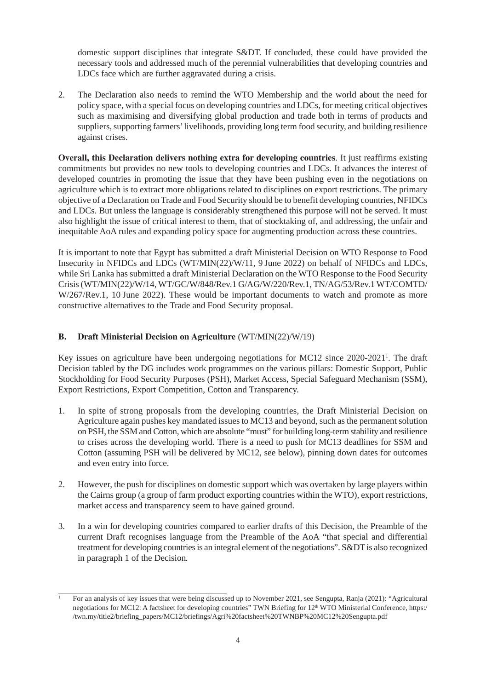domestic support disciplines that integrate S&DT. If concluded, these could have provided the necessary tools and addressed much of the perennial vulnerabilities that developing countries and LDCs face which are further aggravated during a crisis.

2. The Declaration also needs to remind the WTO Membership and the world about the need for policy space, with a special focus on developing countries and LDCs, for meeting critical objectives such as maximising and diversifying global production and trade both in terms of products and suppliers, supporting farmers' livelihoods, providing long term food security, and building resilience against crises.

**Overall, this Declaration delivers nothing extra for developing countries**. It just reaffirms existing commitments but provides no new tools to developing countries and LDCs. It advances the interest of developed countries in promoting the issue that they have been pushing even in the negotiations on agriculture which is to extract more obligations related to disciplines on export restrictions. The primary objective of a Declaration on Trade and Food Security should be to benefit developing countries, NFIDCs and LDCs. But unless the language is considerably strengthened this purpose will not be served. It must also highlight the issue of critical interest to them, that of stocktaking of, and addressing, the unfair and inequitable AoA rules and expanding policy space for augmenting production across these countries.

It is important to note that Egypt has submitted a draft Ministerial Decision on WTO Response to Food Insecurity in NFIDCs and LDCs (WT/MIN(22)/W/11, 9 June 2022) on behalf of NFIDCs and LDCs, while Sri Lanka has submitted a draft Ministerial Declaration on the WTO Response to the Food Security Crisis (WT/MIN(22)/W/14, WT/GC/W/848/Rev.1 G/AG/W/220/Rev.1, TN/AG/53/Rev.1 WT/COMTD/ W/267/Rev.1, 10 June 2022). These would be important documents to watch and promote as more constructive alternatives to the Trade and Food Security proposal.

# **B. Draft Ministerial Decision on Agriculture** (WT/MIN(22)/W/19)

Key issues on agriculture have been undergoing negotiations for MC12 since 2020-20211 . The draft Decision tabled by the DG includes work programmes on the various pillars: Domestic Support, Public Stockholding for Food Security Purposes (PSH), Market Access, Special Safeguard Mechanism (SSM), Export Restrictions, Export Competition, Cotton and Transparency.

- 1. In spite of strong proposals from the developing countries, the Draft Ministerial Decision on Agriculture again pushes key mandated issues to MC13 and beyond, such as the permanent solution on PSH, the SSM and Cotton, which are absolute "must" for building long-term stability and resilience to crises across the developing world. There is a need to push for MC13 deadlines for SSM and Cotton (assuming PSH will be delivered by MC12, see below), pinning down dates for outcomes and even entry into force.
- 2. However, the push for disciplines on domestic support which was overtaken by large players within the Cairns group (a group of farm product exporting countries within the WTO), export restrictions, market access and transparency seem to have gained ground.
- 3. In a win for developing countries compared to earlier drafts of this Decision, the Preamble of the current Draft recognises language from the Preamble of the AoA "that special and differential treatment for developing countries is an integral element of the negotiations". S&DT is also recognized in paragraph 1 of the Decision*.*

<sup>1</sup> For an analysis of key issues that were being discussed up to November 2021, see Sengupta, Ranja (2021): "Agricultural negotiations for MC12: A factsheet for developing countries" TWN Briefing for 12<sup>th</sup> WTO Ministerial Conference, [https:/](https://twn.my/title2/briefing_papers/MC12/briefings/Agri%20factsheet%20TWNBP%20MC12%20Sengupta.pdf) [/twn.my/title2/briefing\\_papers/MC12/briefings/Agri%20factsheet%20TWNBP%20MC12%20Sengupta.pdf](https://twn.my/title2/briefing_papers/MC12/briefings/Agri%20factsheet%20TWNBP%20MC12%20Sengupta.pdf)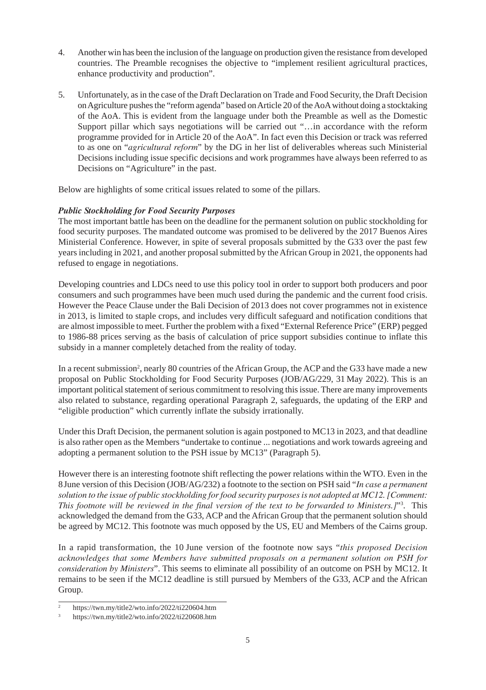- 4. Another win has been the inclusion of the language on production given the resistance from developed countries. The Preamble recognises the objective to "implement resilient agricultural practices, enhance productivity and production".
- 5. Unfortunately, as in the case of the Draft Declaration on Trade and Food Security, the Draft Decision on Agriculture pushes the "reform agenda" based on Article 20 of the AoA without doing a stocktaking of the AoA. This is evident from the language under both the Preamble as well as the Domestic Support pillar which says negotiations will be carried out "…in accordance with the reform programme provided for in Article 20 of the AoA". In fact even this Decision or track was referred to as one on "*agricultural reform*" by the DG in her list of deliverables whereas such Ministerial Decisions including issue specific decisions and work programmes have always been referred to as Decisions on "Agriculture" in the past.

Below are highlights of some critical issues related to some of the pillars.

#### *Public Stockholding for Food Security Purposes*

The most important battle has been on the deadline for the permanent solution on public stockholding for food security purposes. The mandated outcome was promised to be delivered by the 2017 Buenos Aires Ministerial Conference. However, in spite of several proposals submitted by the G33 over the past few years including in 2021, and another proposal submitted by the African Group in 2021, the opponents had refused to engage in negotiations.

Developing countries and LDCs need to use this policy tool in order to support both producers and poor consumers and such programmes have been much used during the pandemic and the current food crisis. However the Peace Clause under the Bali Decision of 2013 does not cover programmes not in existence in 2013, is limited to staple crops, and includes very difficult safeguard and notification conditions that are almost impossible to meet. Further the problem with a fixed "External Reference Price" (ERP) pegged to 1986-88 prices serving as the basis of calculation of price support subsidies continue to inflate this subsidy in a manner completely detached from the reality of today.

In a recent submission<sup>2</sup>, nearly 80 countries of the African Group, the ACP and the G33 have made a new proposal on Public Stockholding for Food Security Purposes (JOB/AG/229, 31 May 2022). This is an important political statement of serious commitment to resolving this issue. There are many improvements also related to substance, regarding operational Paragraph 2, safeguards, the updating of the ERP and "eligible production" which currently inflate the subsidy irrationally.

Under this Draft Decision, the permanent solution is again postponed to MC13 in 2023, and that deadline is also rather open as the Members "undertake to continue ... negotiations and work towards agreeing and adopting a permanent solution to the PSH issue by MC13" (Paragraph 5).

However there is an interesting footnote shift reflecting the power relations within the WTO. Even in the 8June version of this Decision (JOB/AG/232) a footnote to the section on PSH said "*In case a permanent solution to the issue of public stockholding for food security purposes is not adopted at MC12. [Comment: This footnote will be reviewed in the final version of the text to be forwarded to Ministers.]*"3 . This acknowledged the demand from the G33, ACP and the African Group that the permanent solution should be agreed by MC12. This footnote was much opposed by the US, EU and Members of the Cairns group.

In a rapid transformation, the 10 June version of the footnote now says "*this proposed Decision acknowledges that some Members have submitted proposals on a permanent solution on PSH for consideration by Ministers*". This seems to eliminate all possibility of an outcome on PSH by MC12. It remains to be seen if the MC12 deadline is still pursued by Members of the G33, ACP and the African Group.

<sup>2</sup> https://twn.my/title2/wto.info/2022/ti220604.htm

<sup>3</sup> https://twn.my/title2/wto.info/2022/ti220608.htm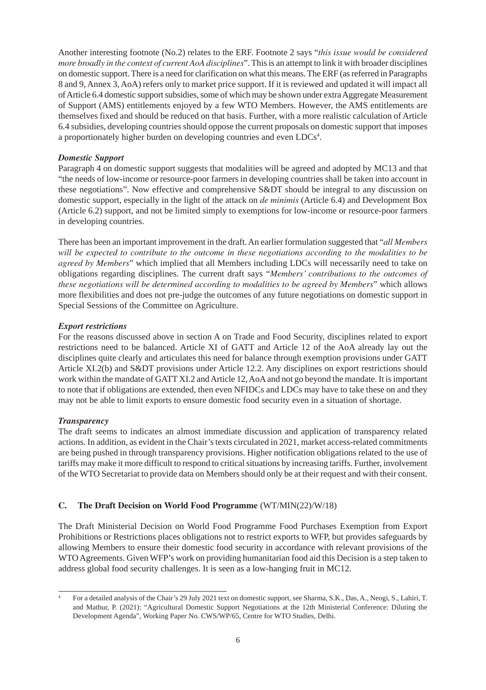Another interesting footnote (No.2) relates to the ERF. Footnote 2 says "*this issue would be considered more broadly in the context of current AoA disciplines*". This is an attempt to link it with broader disciplines on domestic support. There is a need for clarification on what this means. The ERF (as referred in Paragraphs 8 and 9, Annex 3, AoA) refers only to market price support. If it is reviewed and updated it will impact all of Article 6.4 domestic support subsidies, some of which may be shown under extra Aggregate Measurement of Support (AMS) entitlements enjoyed by a few WTO Members. However, the AMS entitlements are themselves fixed and should be reduced on that basis. Further, with a more realistic calculation of Article 6.4 subsidies, developing countries should oppose the current proposals on domestic support that imposes a proportionately higher burden on developing countries and even LDCs<sup>4</sup>.

#### *Domestic Support*

Paragraph 4 on domestic support suggests that modalities will be agreed and adopted by MC13 and that "the needs of low-income or resource-poor farmers in developing countries shall be taken into account in these negotiations". Now effective and comprehensive S&DT should be integral to any discussion on domestic support, especially in the light of the attack on *de minimis* (Article 6.4) and Development Box (Article 6.2) support, and not be limited simply to exemptions for low-income or resource-poor farmers in developing countries.

There has been an important improvement in the draft. An earlier formulation suggested that "*all Members will be expected to contribute to the outcome in these negotiations according to the modalities to be agreed by Members*" which implied that all Members including LDCs will necessarily need to take on obligations regarding disciplines. The current draft says "*Members' contributions to the outcomes of these negotiations will be determined according to modalities to be agreed by Members*" which allows more flexibilities and does not pre-judge the outcomes of any future negotiations on domestic support in Special Sessions of the Committee on Agriculture.

#### *Export restrictions*

For the reasons discussed above in section A on Trade and Food Security, disciplines related to export restrictions need to be balanced. Article XI of GATT and Article 12 of the AoA already lay out the disciplines quite clearly and articulates this need for balance through exemption provisions under GATT Article XI.2(b) and S&DT provisions under Article 12.2. Any disciplines on export restrictions should work within the mandate of GATT XI.2 and Article 12, AoA and not go beyond the mandate. It is important to note that if obligations are extended, then even NFIDCs and LDCs may have to take these on and they may not be able to limit exports to ensure domestic food security even in a situation of shortage.

# *Transparency*

The draft seems to indicates an almost immediate discussion and application of transparency related actions. In addition, as evident in the Chair's texts circulated in 2021, market access-related commitments are being pushed in through transparency provisions. Higher notification obligations related to the use of tariffs may make it more difficult to respond to critical situations by increasing tariffs. Further, involvement of the WTO Secretariat to provide data on Members should only be at their request and with their consent.

# **C. The Draft Decision on World Food Programme** (WT/MIN(22)/W/18)

The Draft Ministerial Decision on World Food Programme Food Purchases Exemption from Export Prohibitions or Restrictions places obligations not to restrict exports to WFP, but provides safeguards by allowing Members to ensure their domestic food security in accordance with relevant provisions of the WTO Agreements. Given WFP's work on providing humanitarian food aid this Decision is a step taken to address global food security challenges. It is seen as a low-hanging fruit in MC12.

<sup>4</sup> For a detailed analysis of the Chair's 29 July 2021 text on domestic support, see Sharma, S.K., Das, A., Neogi, S., Lahiri, T. and Mathur, P. (2021): "Agricultural Domestic Support Negotiations at the 12th Ministerial Conference: Diluting the Development Agenda", Working Paper No. CWS/WP/65, Centre for WTO Studies, Delhi.